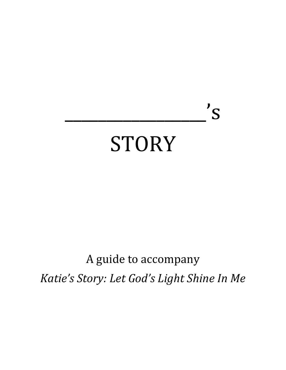# STORY

 $\overline{\phantom{a}}$   $\overline{\phantom{a}}$   $\overline{\phantom{a}}$   $\overline{\phantom{a}}$   $\overline{\phantom{a}}$   $\overline{\phantom{a}}$   $\overline{\phantom{a}}$   $\overline{\phantom{a}}$   $\overline{\phantom{a}}$   $\overline{\phantom{a}}$   $\overline{\phantom{a}}$   $\overline{\phantom{a}}$   $\overline{\phantom{a}}$   $\overline{\phantom{a}}$   $\overline{\phantom{a}}$   $\overline{\phantom{a}}$   $\overline{\phantom{a}}$   $\overline{\phantom{a}}$   $\overline{\$ 

## A guide to accompany Katie's Story: Let God's Light Shine In Me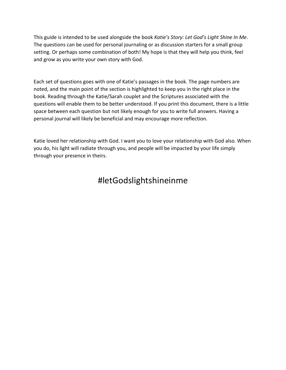This guide is intended to be used alongside the book *Katie's Story: Let God's Light Shine In Me*. The questions can be used for personal journaling or as discussion starters for a small group setting. Or perhaps some combination of both! My hope is that they will help you think, feel and grow as you write your own story with God.

Each set of questions goes with one of Katie's passages in the book. The page numbers are noted, and the main point of the section is highlighted to keep you in the right place in the book. Reading through the Katie/Sarah couplet and the Scriptures associated with the questions will enable them to be better understood. If you print this document, there is a little space between each question but not likely enough for you to write full answers. Having a personal journal will likely be beneficial and may encourage more reflection.

Katie loved her relationship with God. I want you to love your relationship with God also. When you do, his light will radiate through you, and people will be impacted by your life simply through your presence in theirs.

## #letGodslightshineinme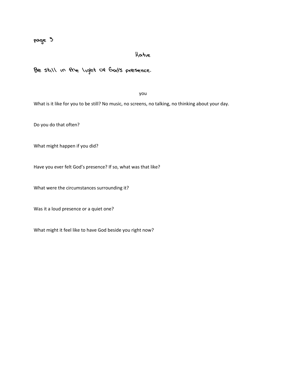## Katie

## Be still in the light of God's presence.

you

What is it like for you to be still? No music, no screens, no talking, no thinking about your day.

Do you do that often?

What might happen if you did?

Have you ever felt God's presence? If so, what was that like?

What were the circumstances surrounding it?

Was it a loud presence or a quiet one?

What might it feel like to have God beside you right now?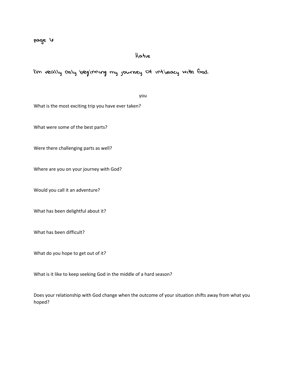## Katie

I'm really only beginning my journey of intimacy with God.

#### you

What is the most exciting trip you have ever taken?

What were some of the best parts?

Were there challenging parts as well?

Where are you on your journey with God?

Would you call it an adventure?

What has been delightful about it?

What has been difficult?

What do you hope to get out of it?

What is it like to keep seeking God in the middle of a hard season?

Does your relationship with God change when the outcome of your situation shifts away from what you hoped?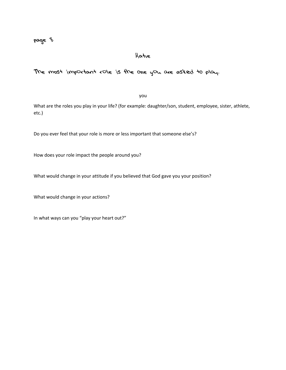## Katie

## The most important role is the one you are asked to play.

you

What are the roles you play in your life? (for example: daughter/son, student, employee, sister, athlete, etc.)

Do you ever feel that your role is more or less important that someone else's?

How does your role impact the people around you?

What would change in your attitude if you believed that God gave you your position?

What would change in your actions?

In what ways can you "play your heart out?"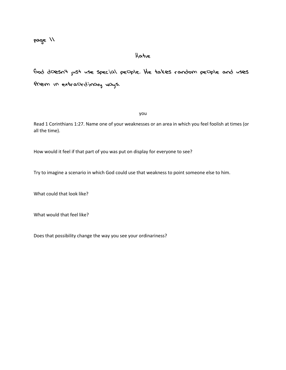## Katie

God doesn't just use special people. He takes random people and uses them in extraordinary ways.

you

Read 1 Corinthians 1:27. Name one of your weaknesses or an area in which you feel foolish at times (or all the time).

How would it feel if that part of you was put on display for everyone to see?

Try to imagine a scenario in which God could use that weakness to point someone else to him.

What could that look like?

What would that feel like?

Does that possibility change the way you see your ordinariness?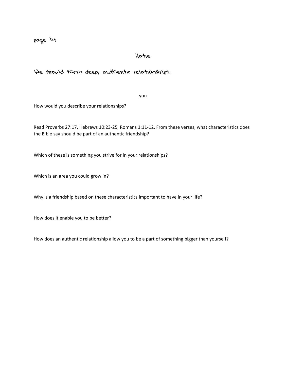## Katie

#### We should form deep, authentic relationships.

you

How would you describe your relationships?

Read Proverbs 27:17, Hebrews 10:23-25, Romans 1:11-12. From these verses, what characteristics does the Bible say should be part of an authentic friendship?

Which of these is something you strive for in your relationships?

Which is an area you could grow in?

Why is a friendship based on these characteristics important to have in your life?

How does it enable you to be better?

How does an authentic relationship allow you to be a part of something bigger than yourself?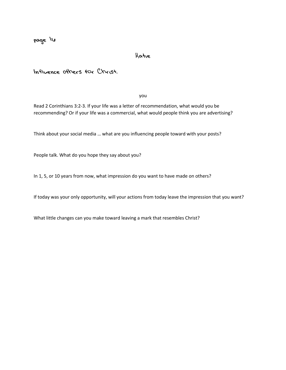page lu

## Katie

Influence others for Christ.

you

Read 2 Corinthians 3:2-3. If your life was a letter of recommendation, what would you be recommending? Or if your life was a commercial, what would people think you are advertising?

Think about your social media … what are you influencing people toward with your posts?

People talk. What do you hope they say about you?

In 1, 5, or 10 years from now, what impression do you want to have made on others?

If today was your only opportunity, will your actions from today leave the impression that you want?

What little changes can you make toward leaving a mark that resembles Christ?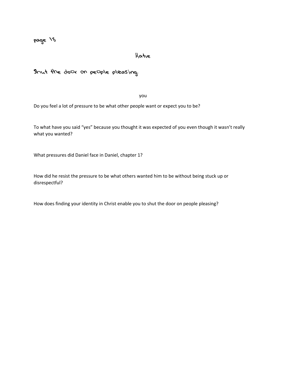## Katie

## Shut the door on people pleasing.

you

Do you feel a lot of pressure to be what other people want or expect you to be?

To what have you said "yes" because you thought it was expected of you even though it wasn't really what you wanted?

What pressures did Daniel face in Daniel, chapter 1?

How did he resist the pressure to be what others wanted him to be without being stuck up or disrespectful?

How does finding your identity in Christ enable you to shut the door on people pleasing?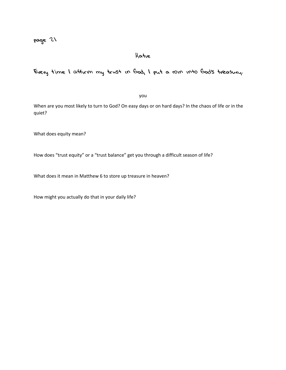## Katie

## Every time I affirm my trust in God, I put a coin into God's treasury.

you

When are you most likely to turn to God? On easy days or on hard days? In the chaos of life or in the quiet?

What does equity mean?

How does "trust equity" or a "trust balance" get you through a difficult season of life?

What does it mean in Matthew 6 to store up treasure in heaven?

How might you actually do that in your daily life?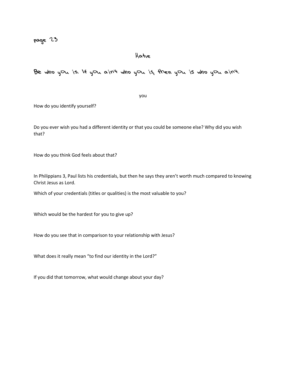## Katie

Be who you is. If you ain't who you is, then you is who you ain't.

you

How do you identify yourself?

Do you ever wish you had a different identity or that you could be someone else? Why did you wish that?

How do you think God feels about that?

In Philippians 3, Paul lists his credentials, but then he says they aren't worth much compared to knowing Christ Jesus as Lord.

Which of your credentials (titles or qualities) is the most valuable to you?

Which would be the hardest for you to give up?

How do you see that in comparison to your relationship with Jesus?

What does it really mean "to find our identity in the Lord?"

If you did that tomorrow, what would change about your day?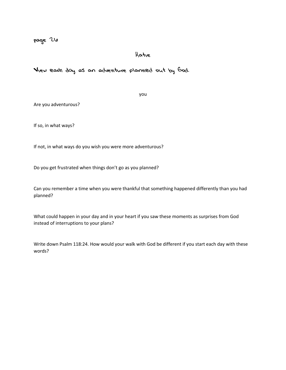## Katie

View each day as an adventure planned out by God.

you

Are you adventurous?

If so, in what ways?

If not, in what ways do you wish you were more adventurous?

Do you get frustrated when things don't go as you planned?

Can you remember a time when you were thankful that something happened differently than you had planned?

What could happen in your day and in your heart if you saw these moments as surprises from God instead of interruptions to your plans?

Write down Psalm 118:24. How would your walk with God be different if you start each day with these words?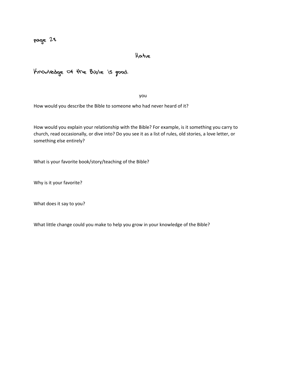Katie

Knowledge of the Bible is good.

you

How would you describe the Bible to someone who had never heard of it?

How would you explain your relationship with the Bible? For example, is it something you carry to church, read occasionally, or dive into? Do you see it as a list of rules, old stories, a love letter, or something else entirely?

What is your favorite book/story/teaching of the Bible?

Why is it your favorite?

What does it say to you?

What little change could you make to help you grow in your knowledge of the Bible?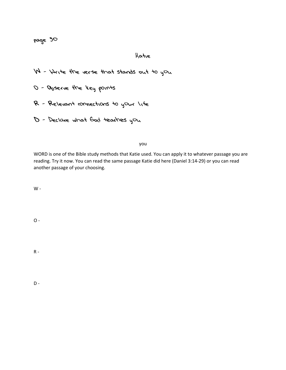## Katie

W - Write the verse that stands out to you

O - Observe the key points

R - Relevant connections to your life

D - Declare what God teaches you

you

WORD is one of the Bible study methods that Katie used. You can apply it to whatever passage you are reading. Try it now. You can read the same passage Katie did here (Daniel 3:14-29) or you can read another passage of your choosing.

 $W -$ 

 $O -$ 

 $\,$  -

 $D -$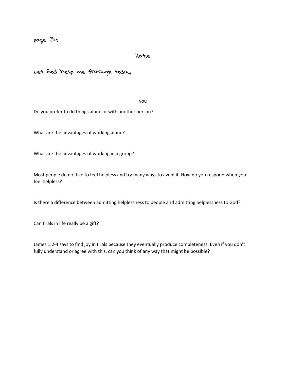#### Katie

## Let God help me through today.

you

Do you prefer to do things alone or with another person?

What are the advantages of working alone?

What are the advantages of working in a group?

Most people do not like to feel helpless and try many ways to avoid it. How do you respond when you feel helpless?

Is there a difference between admitting helplessness to people and admitting helplessness to God?

Can trials in life really be a gift?

James 1:2-4 says to find joy in trials because they eventually produce completeness. Even if you don't fully understand or agree with this, can you think of any way that might be possible?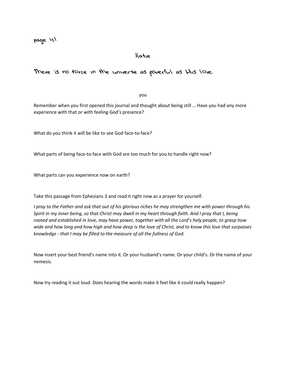#### Katie

## There is no force in the universe as powerful as His love.

you

Remember when you first opened this journal and thought about being still … Have you had any more experience with that or with feeling God's presence?

What do you think it will be like to see God face-to-face?

What parts of being face-to-face with God are too much for you to handle right now?

What parts can you experience now on earth?

Take this passage from Ephesians 3 and read it right now as a prayer for yourself.

*I pray to the Father and ask that out of his glorious riches he may strengthen me with power through his Spirit in my inner being, so that Christ may dwell in my heart through faith. And I pray that I, being rooted and established in love, may have power, together with all the Lord's holy people, to grasp how wide and how long and how high and how deep is the love of Christ, and to know this love that surpasses knowledge - that I may be filled to the measure of all the fullness of God.* 

Now insert your best friend's name into it. Or your husband's name. Or your child's. Or the name of your nemesis.

Now try reading it out loud. Does hearing the words make it feel like it could really happen?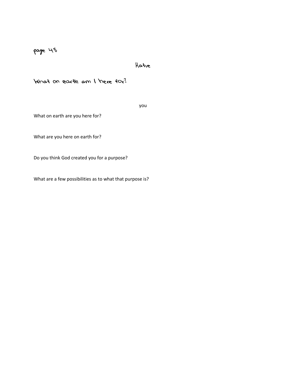#### Katie

## What on earth am I here for?

you

What on earth are you here for?

What are you here on earth for?

Do you think God created you for a purpose?

What are a few possibilities as to what that purpose is?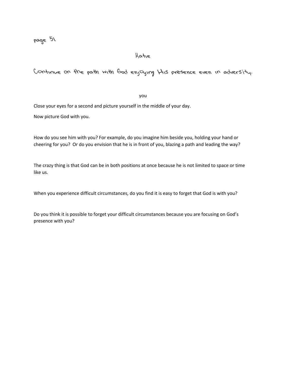#### Katie

## Continue on the path with God enjoying His presence even in adversity.

you

Close your eyes for a second and picture yourself in the middle of your day.

Now picture God with you.

How do you see him with you? For example, do you imagine him beside you, holding your hand or cheering for you? Or do you envision that he is in front of you, blazing a path and leading the way?

The crazy thing is that God can be in both positions at once because he is not limited to space or time like us.

When you experience difficult circumstances, do you find it is easy to forget that God is with you?

Do you think it is possible to forget your difficult circumstances because you are focusing on God's presence with you?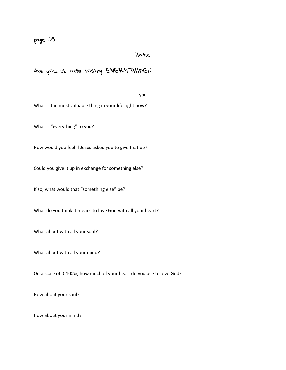## Katie

## Are you ok with losing EVERYTHING?

you

What is the most valuable thing in your life right now?

What is "everything" to you?

How would you feel if Jesus asked you to give that up?

Could you give it up in exchange for something else?

If so, what would that "something else" be?

What do you think it means to love God with all your heart?

What about with all your soul?

What about with all your mind?

On a scale of 0-100%, how much of your heart do you use to love God?

How about your soul?

How about your mind?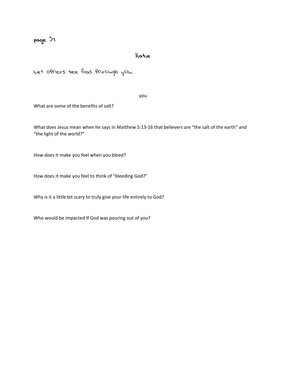## Katie

Let others see God through you.

you

What are some of the benefits of salt?

What does Jesus mean when he says in Matthew 5:13-16 that believers are "the salt of the earth" and "the light of the world?"

How does it make you feel when you bleed?

How does it make you feel to think of "bleeding God?"

Why is it a little bit scary to truly give your life entirely to God?

Who would be impacted If God was pouring out of you?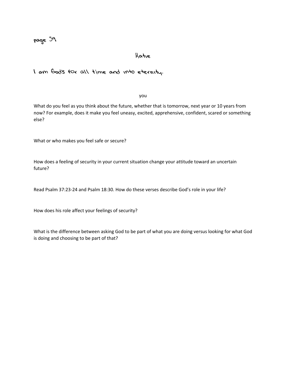#### Katie

#### I am God's for all time and into eternity.

you

What do you feel as you think about the future, whether that is tomorrow, next year or 10 years from now? For example, does it make you feel uneasy, excited, apprehensive, confident, scared or something else?

What or who makes you feel safe or secure?

How does a feeling of security in your current situation change your attitude toward an uncertain future?

Read Psalm 37:23-24 and Psalm 18:30. How do these verses describe God's role in your life?

How does his role affect your feelings of security?

What is the difference between asking God to be part of what you are doing versus looking for what God is doing and choosing to be part of that?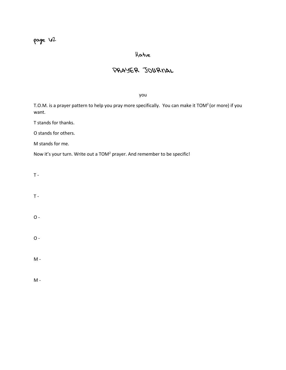## Katie

## PRAYER JOURNAL

you

T.O.M. is a prayer pattern to help you pray more specifically. You can make it TOM<sup>2</sup> (or more) if you want.

T stands for thanks.

O stands for others.

M stands for me.

Now it's your turn. Write out a TOM2 prayer. And remember to be specific!

 $T -$ 

 $T -$ 

 $O -$ 

 $O -$ 

 $\mathsf{M}% _{T}=\mathsf{M}_{T}\times\mathsf{M}_{T}$  .

M -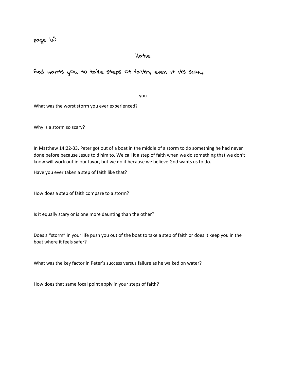page  $\sqrt{5}$ 

Katie

God wants you to take steps of faith, even if it's scary.

you

What was the worst storm you ever experienced?

Why is a storm so scary?

In Matthew 14:22-33, Peter got out of a boat in the middle of a storm to do something he had never done before because Jesus told him to. We call it a step of faith when we do something that we don't know will work out in our favor, but we do it because we believe God wants us to do.

Have you ever taken a step of faith like that?

How does a step of faith compare to a storm?

Is it equally scary or is one more daunting than the other?

Does a "storm" in your life push you out of the boat to take a step of faith or does it keep you in the boat where it feels safer?

What was the key factor in Peter's success versus failure as he walked on water?

How does that same focal point apply in your steps of faith?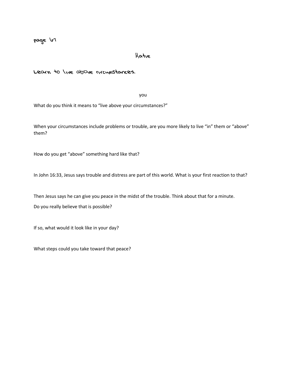#### Katie

Learn to live above circumstances.

you

What do you think it means to "live above your circumstances?"

When your circumstances include problems or trouble, are you more likely to live "in" them or "above" them?

How do you get "above" something hard like that?

In John 16:33, Jesus says trouble and distress are part of this world. What is your first reaction to that?

Then Jesus says he can give you peace in the midst of the trouble. Think about that for a minute.

Do you really believe that is possible?

If so, what would it look like in your day?

What steps could you take toward that peace?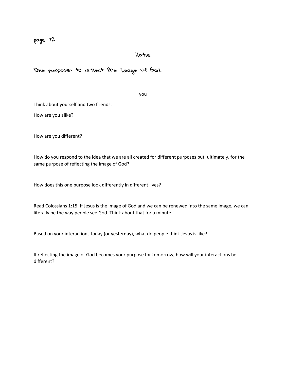## Katie

## One purpose: to reflect the image of God.

you

Think about yourself and two friends.

How are you alike?

How are you different?

How do you respond to the idea that we are all created for different purposes but, ultimately, for the same purpose of reflecting the image of God?

How does this one purpose look differently in different lives?

Read Colossians 1:15. If Jesus is the image of God and we can be renewed into the same image, we can literally be the way people see God. Think about that for a minute.

Based on your interactions today (or yesterday), what do people think Jesus is like?

If reflecting the image of God becomes your purpose for tomorrow, how will your interactions be different?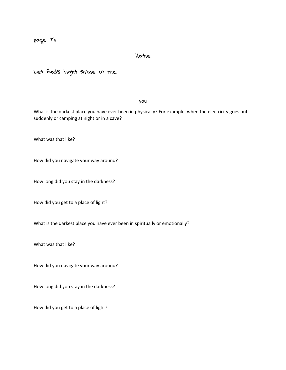## Katie

Let God's light shine in me.

you

What is the darkest place you have ever been in physically? For example, when the electricity goes out suddenly or camping at night or in a cave?

What was that like?

How did you navigate your way around?

How long did you stay in the darkness?

How did you get to a place of light?

What is the darkest place you have ever been in spiritually or emotionally?

What was that like?

How did you navigate your way around?

How long did you stay in the darkness?

How did you get to a place of light?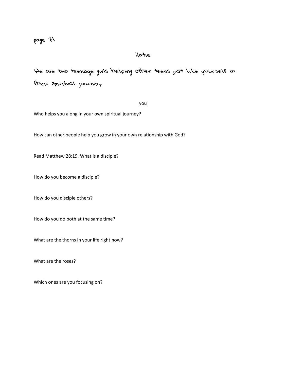## Katie

We are two teenage girls helping other teens just like yourself in their spiritual journey.

you

Who helps you along in your own spiritual journey?

How can other people help you grow in your own relationship with God?

Read Matthew 28:19. What is a disciple?

How do you become a disciple?

How do you disciple others?

How do you do both at the same time?

What are the thorns in your life right now?

What are the roses?

Which ones are you focusing on?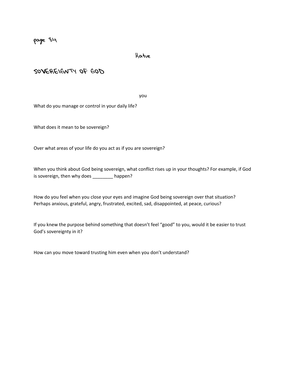Katie

SOVEREIGNTY OF GOD

you

What do you manage or control in your daily life?

What does it mean to be sovereign?

Over what areas of your life do you act as if you are sovereign?

When you think about God being sovereign, what conflict rises up in your thoughts? For example, if God is sovereign, then why does \_\_\_\_\_\_\_\_ happen?

How do you feel when you close your eyes and imagine God being sovereign over that situation? Perhaps anxious, grateful, angry, frustrated, excited, sad, disappointed, at peace, curious?

If you knew the purpose behind something that doesn't feel "good" to you, would it be easier to trust God's sovereignty in it?

How can you move toward trusting him even when you don't understand?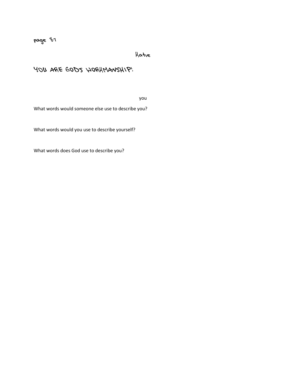Katie

## YOU ARE GOD'S WORKMANSHIP!

you

What words would someone else use to describe you?

What words would you use to describe yourself?

What words does God use to describe you?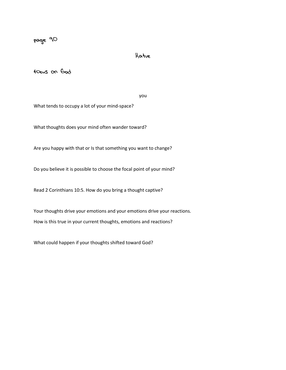## Katie

focus on God

you

What tends to occupy a lot of your mind-space?

What thoughts does your mind often wander toward?

Are you happy with that or Is that something you want to change?

Do you believe it is possible to choose the focal point of your mind?

Read 2 Corinthians 10:5. How do you bring a thought captive?

Your thoughts drive your emotions and your emotions drive your reactions. How is this true in your current thoughts, emotions and reactions?

What could happen if your thoughts shifted toward God?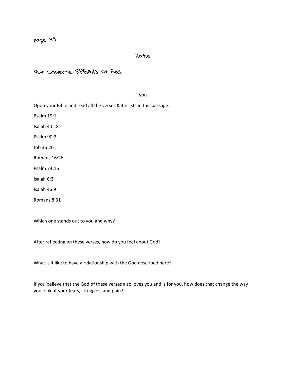## Katie

## Our universe SPEAKS of God.

you

Open your Bible and read all the verses Katie lists in this passage.

Psalm 19:1

Isaiah 40:18

Psalm 90:2

Job 36:26

Romans 16:26

Psalm 74:16

Isaiah 6:3

Isaiah 46:9

Romans 8:31

Which one stands out to you and why?

After reflecting on these verses, how do you feel about God?

What is it like to have a relationship with the God described here?

If you believe that the God of these verses also loves you and is for you, how does that change the way you look at your fears, struggles, and pain?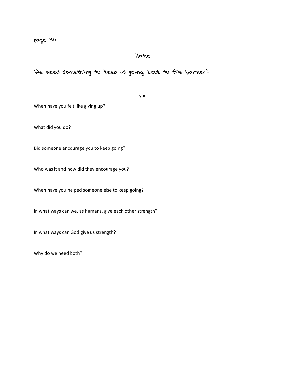## Katie

## We need something to keep us going. Look to the banner!

you

When have you felt like giving up?

What did you do?

Did someone encourage you to keep going?

Who was it and how did they encourage you?

When have you helped someone else to keep going?

In what ways can we, as humans, give each other strength?

In what ways can God give us strength?

Why do we need both?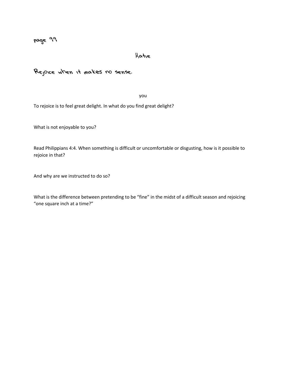## Katie

Rejoice when it makes no sense.

you

To rejoice is to feel great delight. In what do you find great delight?

What is not enjoyable to you?

Read Philippians 4:4. When something is difficult or uncomfortable or disgusting, how is it possible to rejoice in that?

And why are we instructed to do so?

What is the difference between pretending to be "fine" in the midst of a difficult season and rejoicing "one square inch at a time?"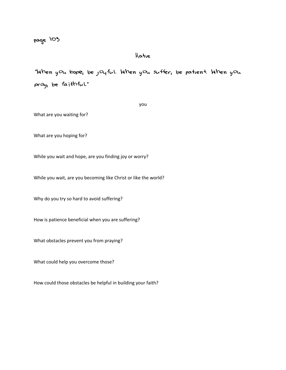## Katie

"When <sup>y</sup><sup>o</sup><sup>u</sup> <sup>h</sup>ope, <sup>b</sup><sup>e</sup> <sup>j</sup>oyful. Whe<sup>n</sup> <sup>y</sup><sup>o</sup><sup>u</sup> suffer, <sup>b</sup><sup>e</sup> <sup>p</sup><sup>a</sup>tient. Whe<sup>n</sup> <sup>y</sup><sup>o</sup><sup>u</sup> pray, <sup>b</sup><sup>e</sup> <sup>f</sup>aithful."

you

What are you waiting for?

What are you hoping for?

While you wait and hope, are you finding joy or worry?

While you wait, are you becoming like Christ or like the world?

Why do you try so hard to avoid suffering?

How is patience beneficial when you are suffering?

What obstacles prevent you from praying?

What could help you overcome those?

How could those obstacles be helpful in building your faith?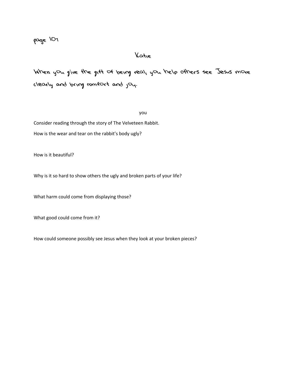## Katie

When you give the gift of being real, you help others see Jesus more clearly and bring comfort and joy.

you

Consider reading through the story of The Velveteen Rabbit. How is the wear and tear on the rabbit's body ugly?

How is it beautiful?

Why is it so hard to show others the ugly and broken parts of your life?

What harm could come from displaying those?

What good could come from it?

How could someone possibly see Jesus when they look at your broken pieces?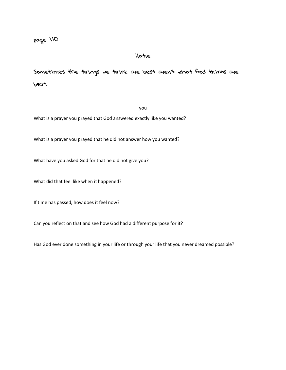Katie

Sometimes the things we think are best aren't what God thinks are best.

you

What is a prayer you prayed that God answered exactly like you wanted?

What is a prayer you prayed that he did not answer how you wanted?

What have you asked God for that he did not give you?

What did that feel like when it happened?

If time has passed, how does it feel now?

Can you reflect on that and see how God had a different purpose for it?

Has God ever done something in your life or through your life that you never dreamed possible?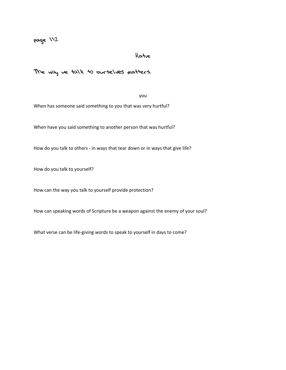## Katie

The way we talk to ourselves matters.

you

When has someone said something to you that was very hurtful?

When have you said something to another person that was hurtful?

How do you talk to others - in ways that tear down or in ways that give life?

How do you talk to yourself?

How can the way you talk to yourself provide protection?

How can speaking words of Scripture be a weapon against the enemy of your soul?

What verse can be life-giving words to speak to yourself in days to come?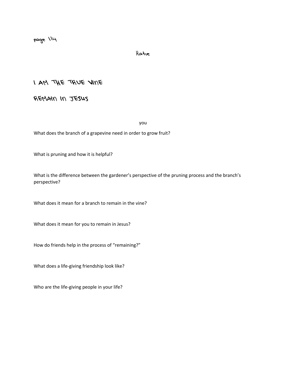Katie

I AM THE TRUE VINE

REMAIN IN JESUS

you

What does the branch of a grapevine need in order to grow fruit?

What is pruning and how it is helpful?

What is the difference between the gardener's perspective of the pruning process and the branch's perspective?

What does it mean for a branch to remain in the vine?

What does it mean for you to remain in Jesus?

How do friends help in the process of "remaining?"

What does a life-giving friendship look like?

Who are the life-giving people in your life?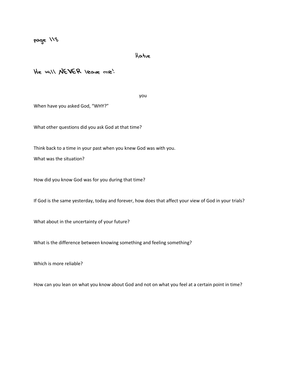Katie

He will NEVER leave me!

you

When have you asked God, "WHY?"

What other questions did you ask God at that time?

Think back to a time in your past when you knew God was with you.

What was the situation?

How did you know God was for you during that time?

If God is the same yesterday, today and forever, how does that affect your view of God in your trials?

What about in the uncertainty of your future?

What is the difference between knowing something and feeling something?

Which is more reliable?

How can you lean on what you know about God and not on what you feel at a certain point in time?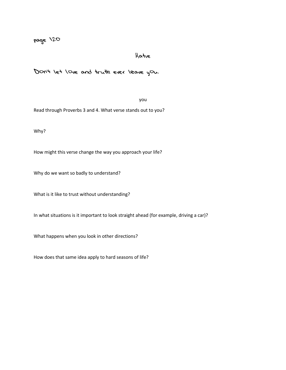#### Katie

Don't let love and truth ever leave you.

#### you

Read through Proverbs 3 and 4. What verse stands out to you?

Why?

How might this verse change the way you approach your life?

Why do we want so badly to understand?

What is it like to trust without understanding?

In what situations is it important to look straight ahead (for example, driving a car)?

What happens when you look in other directions?

How does that same idea apply to hard seasons of life?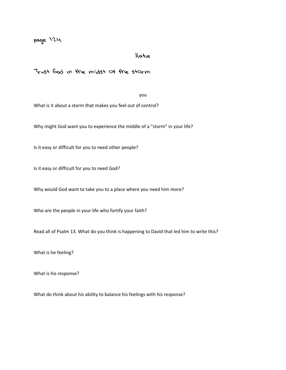## Katie

Trust God in the midst of the storm

you

What is it about a storm that makes you feel out of control?

Why might God want you to experience the middle of a "storm" in your life?

Is it easy or difficult for you to need other people?

Is it easy or difficult for you to need God?

Why would God want to take you to a place where you need him more?

Who are the people in your life who fortify your faith?

Read all of Psalm 13. What do you think is happening to David that led him to write this?

What is he feeling?

What is his response?

What do think about his ability to balance his feelings with his response?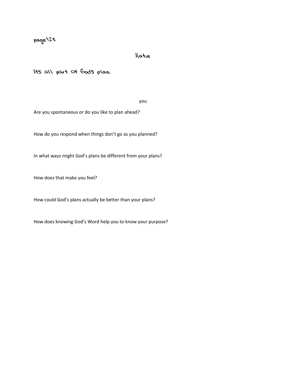## Katie

It's all part of God's plan.

you

Are you spontaneous or do you like to plan ahead?

How do you respond when things don't go as you planned?

In what ways might God's plans be different from your plans?

How does that make you feel?

How could God's plans actually be better than your plans?

How does knowing God's Word help you to know your purpose?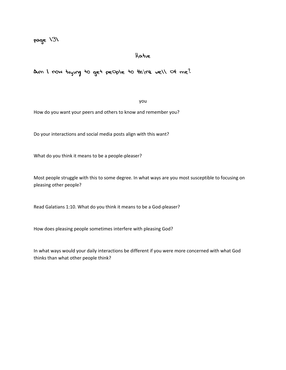#### Katie

Am I now trying to get people to think well of me?

#### you

How do you want your peers and others to know and remember you?

Do your interactions and social media posts align with this want?

What do you think it means to be a people-pleaser?

Most people struggle with this to some degree. In what ways are you most susceptible to focusing on pleasing other people?

Read Galatians 1:10. What do you think it means to be a God-pleaser?

How does pleasing people sometimes interfere with pleasing God?

In what ways would your daily interactions be different if you were more concerned with what God thinks than what other people think?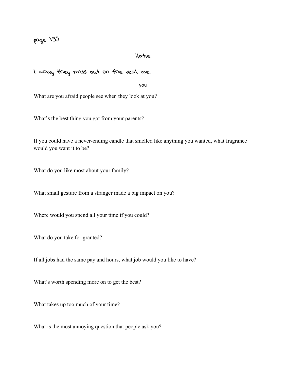#### Katie

#### I worry they miss out on the real me.

you

What are you afraid people see when they look at you?

What's the best thing you got from your parents?

If you could have a never-ending candle that smelled like anything you wanted, what fragrance would you want it to be?

What do you like most about your family?

What small gesture from a stranger made a big impact on you?

Where would you spend all your time if you could?

What do you take for granted?

If all jobs had the same pay and hours, what job would you like to have?

What's worth spending more on to get the best?

What takes up too much of your time?

What is the most annoying question that people ask you?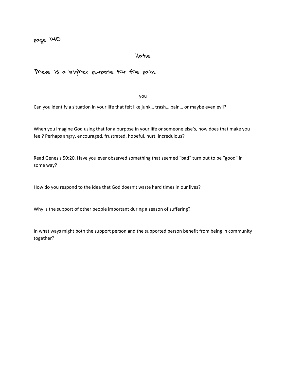## Katie

## There is a higher purpose for the pain.

you

Can you identify a situation in your life that felt like junk… trash… pain… or maybe even evil?

When you imagine God using that for a purpose in your life or someone else's, how does that make you feel? Perhaps angry, encouraged, frustrated, hopeful, hurt, incredulous?

Read Genesis 50:20. Have you ever observed something that seemed "bad" turn out to be "good" in some way?

How do you respond to the idea that God doesn't waste hard times in our lives?

Why is the support of other people important during a season of suffering?

In what ways might both the support person and the supported person benefit from being in community together?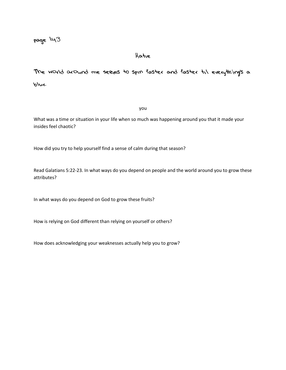## Katie

The world around me seems to spin faster and faster til everything's a blur.

you

What was a time or situation in your life when so much was happening around you that it made your insides feel chaotic?

How did you try to help yourself find a sense of calm during that season?

Read Galatians 5:22-23. In what ways do you depend on people and the world around you to grow these attributes?

In what ways do you depend on God to grow these fruits?

How is relying on God different than relying on yourself or others?

How does acknowledging your weaknesses actually help you to grow?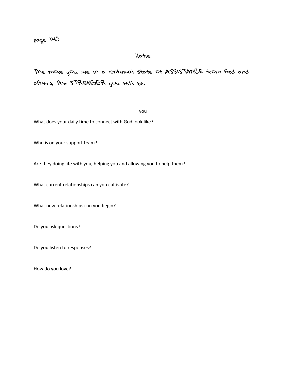## Katie

The more you are in a continual state of ASSISTANCE from God and others, the STRONGER you will be.

you

What does your daily time to connect with God look like?

Who is on your support team?

Are they doing life with you, helping you and allowing you to help them?

What current relationships can you cultivate?

What new relationships can you begin?

Do you ask questions?

Do you listen to responses?

How do you love?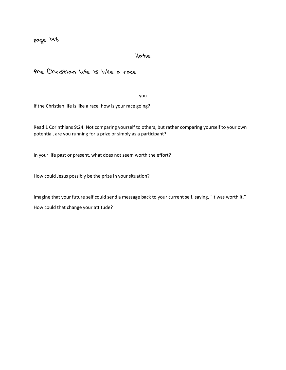## Katie

## the Christian life is like a race

you

If the Christian life is like a race, how is your race going?

Read 1 Corinthians 9:24. Not comparing yourself to others, but rather comparing yourself to your own potential, are you running for a prize or simply as a participant?

In your life past or present, what does not seem worth the effort?

How could Jesus possibly be the prize in your situation?

Imagine that your future self could send a message back to your current self, saying, "It was worth it." How could that change your attitude?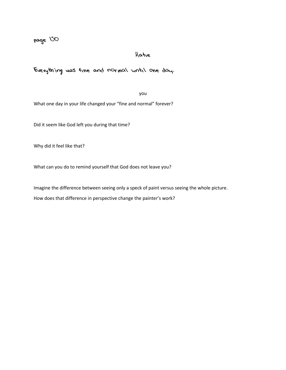## Katie

## Everything was fine and normal until one day.

you

What one day in your life changed your "fine and normal" forever?

Did it seem like God left you during that time?

Why did it feel like that?

What can you do to remind yourself that God does not leave you?

Imagine the difference between seeing only a speck of paint versus seeing the whole picture.

How does that difference in perspective change the painter's work?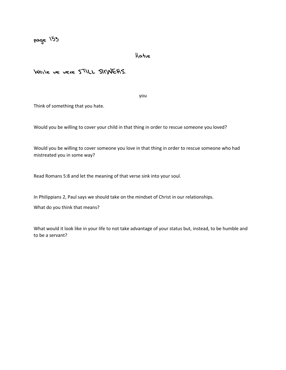Katie

## While we were STILL SINNERS.

you

Think of something that you hate.

Would you be willing to cover your child in that thing in order to rescue someone you loved?

Would you be willing to cover someone you love in that thing in order to rescue someone who had mistreated you in some way?

Read Romans 5:8 and let the meaning of that verse sink into your soul.

In Philippians 2, Paul says we should take on the mindset of Christ in our relationships.

What do you think that means?

What would it look like in your life to not take advantage of your status but, instead, to be humble and to be a servant?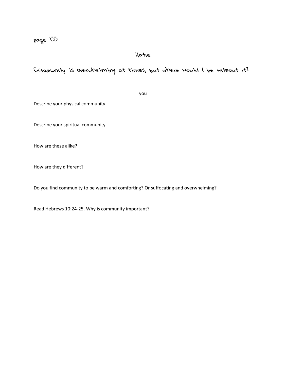## Katie

## Community is overwhelming at times, but where would I be without it?

you

Describe your physical community.

Describe your spiritual community.

How are these alike?

How are they different?

Do you find community to be warm and comforting? Or suffocating and overwhelming?

Read Hebrews 10:24-25. Why is community important?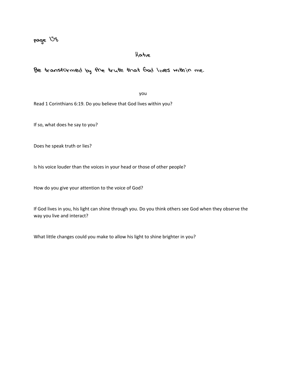## Katie

## Be transformed by the truth that God lives within me.

you

Read 1 Corinthians 6:19. Do you believe that God lives within you?

If so, what does he say to you?

Does he speak truth or lies?

Is his voice louder than the voices in your head or those of other people?

How do you give your attention to the voice of God?

If God lives in you, his light can shine through you. Do you think others see God when they observe the way you live and interact?

What little changes could you make to allow his light to shine brighter in you?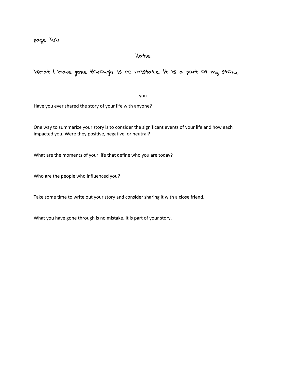page llow

## Katie

## What I have gone through is no mistake. It is a part of my story.

you

Have you ever shared the story of your life with anyone?

One way to summarize your story is to consider the significant events of your life and how each impacted you. Were they positive, negative, or neutral?

What are the moments of your life that define who you are today?

Who are the people who influenced you?

Take some time to write out your story and consider sharing it with a close friend.

What you have gone through is no mistake. It is part of your story.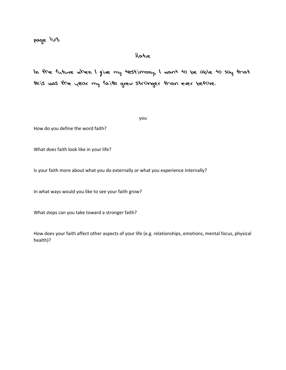## Katie

In the future when I give my testimony, I want to be able to say that this was the year my faith grew stronger than ever before.

you

How do you define the word faith?

What does faith look like in your life?

Is your faith more about what you do externally or what you experience internally?

In what ways would you like to see your faith grow?

What steps can you take toward a stronger faith?

How does your faith affect other aspects of your life (e.g. relationships, emotions, mental focus, physical health)?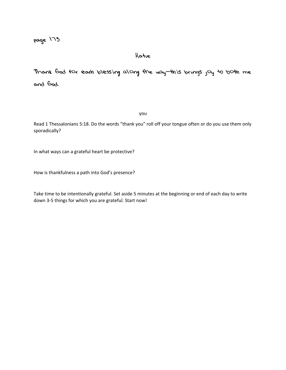Katie

Thank God for each blessing along the way—this brings joy to both me and God.

you

Read 1 Thessalonians 5:18. Do the words "thank you" roll off your tongue often or do you use them only sporadically?

In what ways can a grateful heart be protective?

How is thankfulness a path into God's presence?

Take time to be intentionally grateful. Set aside 5 minutes at the beginning or end of each day to write down 3-5 things for which you are grateful. Start now!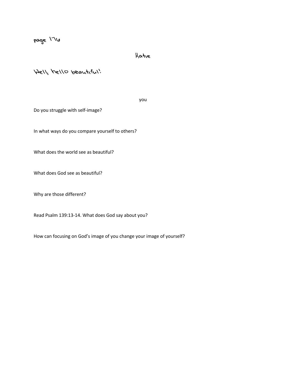Katie

Well, hello beautiful!

you

Do you struggle with self-image?

In what ways do you compare yourself to others?

What does the world see as beautiful?

What does God see as beautiful?

Why are those different?

Read Psalm 139:13-14. What does God say about you?

How can focusing on God's image of you change your image of yourself?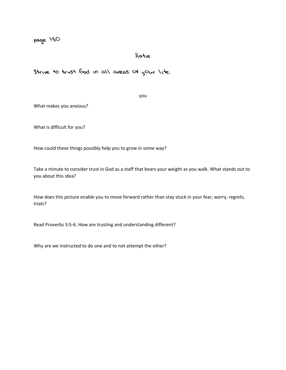## Katie

Strive to trust God in all areas of your life.

you

What makes you anxious?

What is difficult for you?

How could these things possibly help you to grow in some way?

Take a minute to consider trust in God as a staff that bears your weight as you walk. What stands out to you about this idea?

How does this picture enable you to move forward rather than stay stuck in your fear, worry, regrets, trials?

Read Proverbs 3:5-6. How are trusting and understanding different?

Why are we instructed to do one and to not attempt the other?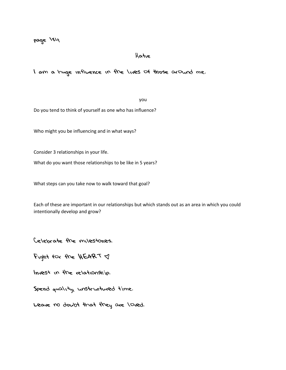#### Katie

I am a huge influence in the lives of those around me.

you

Do you tend to think of yourself as one who has influence?

Who might you be influencing and in what ways?

Consider 3 relationships in your life.

What do you want those relationships to be like in 5 years?

What steps can you take now to walk toward that goal?

Each of these are important in our relationships but which stands out as an area in which you could intentionally develop and grow?

Celebrate the milestones.

Fight for the HEART  $\triangleleft$ 

Invest in the relationship.

Spend quality, unstructured time.

Leave no doubt that they are loved.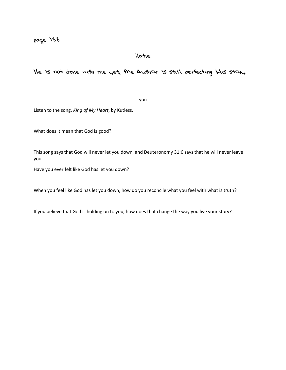## Katie

He is not done with me yet, the Author is still perfecting His story.

you

Listen to the song, *King of My Heart*, by Kutless.

What does it mean that God is good?

This song says that God will never let you down, and Deuteronomy 31:6 says that he will never leave you.

Have you ever felt like God has let you down?

When you feel like God has let you down, how do you reconcile what you feel with what is truth?

If you believe that God is holding on to you, how does that change the way you live your story?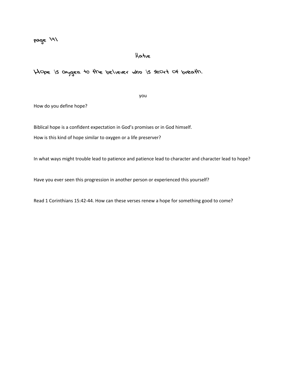#### Katie

Hope is oxygen to the believer who is short of breath.

you

How do you define hope?

Biblical hope is a confident expectation in God's promises or in God himself.

How is this kind of hope similar to oxygen or a life preserver?

In what ways might trouble lead to patience and patience lead to character and character lead to hope?

Have you ever seen this progression in another person or experienced this yourself?

Read 1 Corinthians 15:42-44. How can these verses renew a hope for something good to come?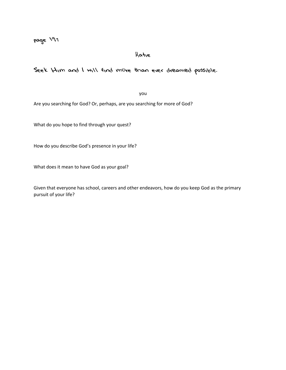## Katie

## Seek Him and I will find more than ever dreamed possible.

you

Are you searching for God? Or, perhaps, are you searching for more of God?

What do you hope to find through your quest?

How do you describe God's presence in your life?

What does it mean to have God as your goal?

Given that everyone has school, careers and other endeavors, how do you keep God as the primary pursuit of your life?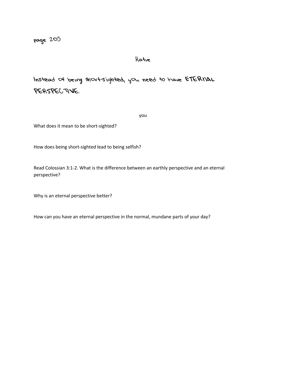## Katie

Instead of being short-sighted, you need to have ETERNAL PERSPECTIVE.

you

What does it mean to be short-sighted?

How does being short-sighted lead to being selfish?

Read Colossian 3:1-2. What is the difference between an earthly perspective and an eternal perspective?

Why is an eternal perspective better?

How can you have an eternal perspective in the normal, mundane parts of your day?